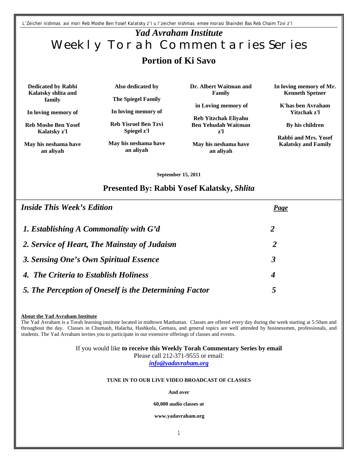*L'Zeicher nishmas avi mori Reb Moshe Ben Yosef Kalatsky z'l u l'zeicher nishmas emee morasi Shaindel Bas Reb Chaim Tzvi z'l*

# *Yad Avraham Institute* Weekly Torah Commentaries Series **Portion of Ki Savo**

**Dedicated by Rabbi Kalatsky shlita and family**

**In loving memory of**

**Reb Moshe Ben Yosef Kalatsky z'l** 

**May his neshama have an aliyah**

**Also dedicated by**

**The Spiegel Family**

**In loving memory of** 

**Reb Yisroel Ben Tzvi Spiegel z'l**

**May his neshama have an aliyah**

**Dr. Albert Waitman and Family**

**in Loving memory of** 

**Reb Yitzchak Eliyahu Ben Yehudah Waitman z'l**

**May his neshama have an aliyah**

**In loving memory of Mr. Kenneth Spetner** 

**K'has ben Avraham Yitzchak z'l**

**By his children** 

**Rabbi and Mrs. Yosef Kalatsky and Family**

**September 15, 2011**

### **Presented By: Rabbi Yosef Kalatsky,** *Shlita*

| <b>Inside This Week's Edition</b>                      | <b>Page</b> |  |
|--------------------------------------------------------|-------------|--|
| 1. Establishing A Commonality with G'd                 | 2           |  |
| 2. Service of Heart, The Mainstay of Judaism           | 2           |  |
| 3. Sensing One's Own Spiritual Essence                 | 3           |  |
| 4. The Criteria to Establish Holiness                  | 4           |  |
| 5. The Perception of Oneself is the Determining Factor | 5           |  |

#### **About the Yad Avraham Institute**

The Yad Avraham is a Torah learning institute located in midtown Manhattan. Classes are offered every day during the week starting at 5:50am and throughout the day. Classes in Chumash, Halacha, Hashkofa, Gemara, and general topics are well attended by businessmen, professionals, and students. The Yad Avraham invites you to participate in our extensive offerings of classes and events.

#### If you would like **to receive this Weekly Torah Commentary Series by email**

Please call 212-371-9555 or email: *info@yadavraham.org*

#### **TUNE IN TO OUR LIVE VIDEO BROADCAST OF CLASSES**

#### **And over**

#### **60,000 audio classes at**

**www.yadavraham.org**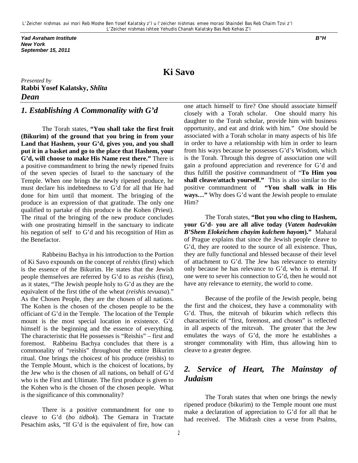*Yad Avraham Institute B"H New York September 15, 2011*

# **Ki Savo**

*Presented by* **Rabbi Yosef Kalatsky,** *Shlita Dean* 

# *1. Establishing A Commonality with G'd*

The Torah states, **"You shall take the first fruit (Bikurim) of the ground that you bring in from your Land that Hashem, your G'd, gives you, and you shall put it in a basket and go to the place that Hashem, your G'd, will choose to make His Name rest there."** There is a positive commandment to bring the newly ripened fruits of the seven species of Israel to the sanctuary of the Temple. When one brings the newly ripened produce, he must declare his indebtedness to G'd for all that He had done for him until that moment. The bringing of the produce is an expression of that gratitude. The only one qualified to partake of this produce is the Kohen (Priest). The ritual of the bringing of the new produce concludes with one prostrating himself in the sanctuary to indicate his negation of self to G'd and his recognition of Him as the Benefactor.

Rabbeinu Bachya in his introduction to the Portion of Ki Savo expounds on the concept of *reishis* (first) which is the essence of the Bikurim. He states that the Jewish people themselves are referred by G'd to as *reishis* (first), as it states, "The Jewish people holy to G'd as they are the equivalent of the first tithe of the wheat *(reishis tevuasa*)." As the Chosen People, they are the chosen of all nations. The Kohen is the chosen of the chosen people to be the officiant of G'd in the Temple. The location of the Temple mount is the most special location in existence. G'd himself is the beginning and the essence of everything. The characteristic that He possesses is "Reishis" – first and foremost. Rabbeinu Bachya concludes that there is a commonality of "reishis" throughout the entire Bikurim ritual. One brings the choicest of his produce (reishis) to the Temple Mount, which is the choicest of locations, by the Jew who is the chosen of all nations, on behalf of G'd who is the First and Ultimate. The first produce is given to the Kohen who is the chosen of the chosen people. What is the significance of this commonality?

There is a positive commandment for one to cleave to G'd (*bo tidbok*). The Gemara in Tractate Pesachim asks, "If G'd is the equivalent of fire, how can

one attach himself to fire? One should associate himself closely with a Torah scholar. One should marry his daughter to the Torah scholar, provide him with business opportunity, and eat and drink with him." One should be associated with a Torah scholar in many aspects of his life in order to have a relationship with him in order to learn from his ways because he possesses G'd's Wisdom, which is the Torah. Through this degree of association one will gain a profound appreciation and reverence for G'd and thus fulfill the positive commandment of "**To Him you shall cleave/attach yourself."** This is also similar to the positive commandment of **"You shall walk in His ways…"** Why does G'd want the Jewish people to emulate Him?

The Torah states, **"But you who cling to Hashem, your G'd- you are all alive today (***Vatem hadevakim B'Shem Elokeichem chayim kulchem hayom***)."** Maharal of Prague explains that since the Jewish people cleave to G'd, they are rooted to the source of all existence. Thus, they are fully functional and blessed because of their level of attachment to G'd. The Jew has relevance to eternity only because he has relevance to G'd, who is eternal. If one were to sever his connection to G'd, then he would not have any relevance to eternity, the world to come.

Because of the profile of the Jewish people, being the first and the choicest, they have a commonality with G'd. Thus, the mitzvah of bikurim which reflects this characteristic of "first, foremost, and chosen" is reflected in all aspects of the mitzvah. The greater that the Jew emulates the ways of G'd, the more he establishes a stronger commonality with Him, thus allowing him to cleave to a greater degree.

# *2. Service of Heart, The Mainstay of Judaism*

The Torah states that when one brings the newly ripened produce (bikurim) to the Temple mount one must make a declaration of appreciation to G'd for all that he had received. The Midrash cites a verse from Psalms,

2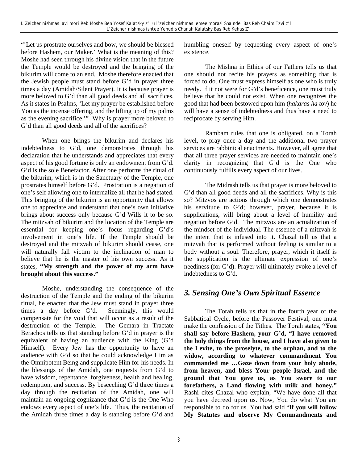"'Let us prostrate ourselves and bow, we should be blessed before Hashem, our Maker.' What is the meaning of this? Moshe had seen through his divine vision that in the future the Temple would be destroyed and the bringing of the bikurim will come to an end. Moshe therefore enacted that the Jewish people must stand before G'd in prayer three times a day (Amidah/Silent Prayer). It is because prayer is more beloved to G'd than all good deeds and all sacrifices. As it states in Psalms, 'Let my prayer be established before You as the incense offering, and the lifting up of my palms as the evening sacrifice.'" Why is prayer more beloved to G'd than all good deeds and all of the sacrifices?

When one brings the bikurim and declares his indebtedness to G'd, one demonstrates through his declaration that he understands and appreciates that every aspect of his good fortune is only an endowment from G'd. G'd is the sole Benefactor. After one performs the ritual of the bikurim, which is in the Sanctuary of the Temple, one prostrates himself before G'd. Prostration is a negation of one's self allowing one to internalize all that he had stated. This bringing of the bikurim is an opportunity that allows one to appreciate and understand that one's own initiative brings about success only because G'd Wills it to be so. The mitzvah of bikurim and the location of the Temple are essential for keeping one's focus regarding G'd's involvement in one's life. If the Temple should be destroyed and the mitzvah of bikurim should cease, one will naturally fall victim to the inclination of man to believe that he is the master of his own success. As it states, **"My strength and the power of my arm have brought about this success."**

Moshe, understanding the consequence of the destruction of the Temple and the ending of the bikurim ritual, he enacted that the Jew must stand in prayer three times a day before G'd. Seemingly, this would compensate for the void that will occur as a result of the destruction of the Temple. The Gemara in Tractate Berachos tells us that standing before G'd in prayer is the equivalent of having an audience with the King (G'd Himself). Every Jew has the opportunity to have an audience with G'd so that he could acknowledge Him as the Omnipotent Being and supplicate Him for his needs. In the blessings of the Amidah, one requests from G'd to have wisdom, repentance, forgiveness, health and healing, redemption, and success. By beseeching G'd three times a day through the recitation of the Amidah, one will maintain an ongoing cognizance that G'd is the One Who endows every aspect of one's life. Thus, the recitation of the Amidah three times a day is standing before G'd and

humbling oneself by requesting every aspect of one's existence.

The Mishna in Ethics of our Fathers tells us that one should not recite his prayers as something that is forced to do. One must express himself as one who is truly needy. If it not were for G'd's beneficence, one must truly believe that he could not exist. When one recognizes the good that had been bestowed upon him (*hakaras ha tov*) he will have a sense of indebtedness and thus have a need to reciprocate by serving Him.

Rambam rules that one is obligated, on a Torah level, to pray once a day and the additional two prayer services are rabbinical enactments. However, all agree that that all three prayer services are needed to maintain one's clarity in recognizing that G'd is the One who continuously fulfills every aspect of our lives.

The Midrash tells us that prayer is more beloved to G'd than all good deeds and all the sacrifices. Why is this so? Mitzvos are actions through which one demonstrates his servitude to G'd; however, prayer, because it is supplications, will bring about a level of humility and negation before G'd. The mitzvos are an actualization of the mindset of the individual. The essence of a mitzvah is the intent that is infused into it. Chazal tell us that a mitzvah that is performed without feeling is similar to a body without a soul. Therefore, prayer, which it itself is the supplication is the ultimate expression of one's neediness (for G'd). Prayer will ultimately evoke a level of indebtedness to G'd.

## *3. Sensing One's Own Spiritual Essence*

The Torah tells us that in the fourth year of the Sabbatical Cycle, before the Passover Festival, one must make the confession of the Tithes. The Torah states, **"You shall say before Hashem, your G'd, "I have removed the holy things from the house, and I have also given to the Levite, to the proselyte, to the orphan, and to the widow, according to whatever commandment You commanded me …Gaze down from your holy abode, from heaven, and bless Your people Israel, and the ground that You gave us, as You swore to our forefathers, a Land flowing with milk and honey."** Rashi cites Chazal who explain, "We have done all that you have decreed upon us. Now, You do what You are responsible to do for us. You had said **'If you will follow My Statutes and observe My Commandments and**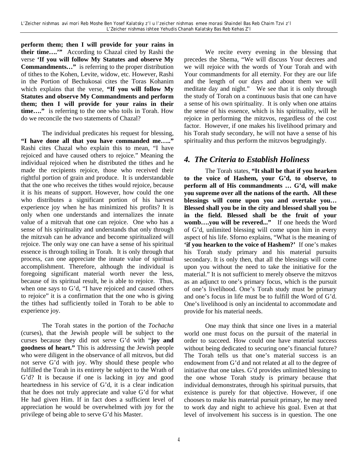**perform them; then I will provide for your rains in their time….'"** According to Chazal cited by Rashi the verse **'If you will follow My Statutes and observe My Commandments…"** is referring to the proper distribution of tithes to the Kohen, Levite, widow, etc. However, Rashi in the Portion of Bechukosai cites the Toras Kohanim which explains that the verse, **"If you will follow My Statutes and observe My Commandments and perform them; then I will provide for your rains in their time…."** is referring to the one who toils in Torah. How do we reconcile the two statements of Chazal?

The individual predicates his request for blessing, **"I have done all that you have commanded me….."** Rashi cites Chazal who explain this to mean, "I have rejoiced and have caused others to rejoice." Meaning the individual rejoiced when he distributed the tithes and he made the recipients rejoice, those who received their rightful portion of grain and produce. It is understandable that the one who receives the tithes would rejoice, because it is his means of support. However, how could the one who distributes a significant portion of his harvest experience joy when he has minimized his profits? It is only when one understands and internalizes the innate value of a mitzvah that one can rejoice. One who has a sense of his spirituality and understands that only through the mitzvah can he advance and become spiritualized will rejoice. The only way one can have a sense of his spiritual essence is through toiling in Torah. It is only through that process, can one appreciate the innate value of spiritual accomplishment. Therefore, although the individual is foregoing significant material worth never the less, because of its spiritual result, he is able to rejoice. Thus, when one says to G'd, "I have rejoiced and caused others to rejoice" it is a confirmation that the one who is giving the tithes had sufficiently toiled in Torah to be able to experience joy.

The Torah states in the portion of the *Tochacha* (curses), that the Jewish people will be subject to the curses because they did not serve G'd with "**joy and goodness of heart."** This is addressing the Jewish people who were diligent in the observance of all mitzvos, but did not serve G'd with joy. Why should these people who fulfilled the Torah in its entirety be subject to the Wrath of G'd? It is because if one is lacking in joy and good heartedness in his service of G'd, it is a clear indication that he does not truly appreciate and value G'd for what He had given Him. If in fact does a sufficient level of appreciation he would be overwhelmed with joy for the privilege of being able to serve G'd his Master.

We recite every evening in the blessing that precedes the Shema, "We will discuss Your decrees and we will rejoice with the words of Your Torah and with Your commandments for all eternity. For they are our life and the length of our days and about them we will meditate day and night." We see that it is only through the study of Torah on a continuous basis that one can have a sense of his own spirituality. It is only when one attains the sense of his essence, which is his spirituality, will he rejoice in performing the mitzvos, regardless of the cost factor. However, if one makes his livelihood primary and his Torah study secondary, he will not have a sense of his spirituality and thus perform the mitzvos begrudgingly.

## *4. The Criteria to Establish Holiness*

The Torah states, **"It shall be that if you hearken to the voice of Hashem, your G'd, to observe, to perform all of His commandments … G'd, will make you supreme over all the nations of the earth. All these blessings will come upon you and overtake you… Blessed shall you be in the city and blessed shall you be in the field. Blessed shall be the fruit of your womb….you will be revered..."** If one heeds the Word of G'd, unlimited blessing will come upon him in every aspect of his life. Sforno explains, "What is the meaning of **'if you hearken to the voice of Hashem?'** If one's makes his Torah study primary and his material pursuits secondary. It is only then, that all the blessings will come upon you without the need to take the initiative for the material." It is not sufficient to merely observe the mitzvos as an adjunct to one's primary focus, which is the pursuit of one's livelihood. One's Torah study must be primary and one's focus in life must be to fulfill the Word of G'd. One's livelihood is only an incidental to accommodate and provide for his material needs.

One may think that since one lives in a material world one must focus on the pursuit of the material in order to succeed. How could one have material success without being dedicated to securing one's financial future? The Torah tells us that one's material success is an endowment from G'd and not related at all to the degree of initiative that one takes. G'd provides unlimited blessing to the one whose Torah study is primary because that individual demonstrates, through his spiritual pursuits, that existence is purely for that objective. However, if one chooses to make his material pursuit primary, he may need to work day and night to achieve his goal. Even at that level of involvement his success is in question. The one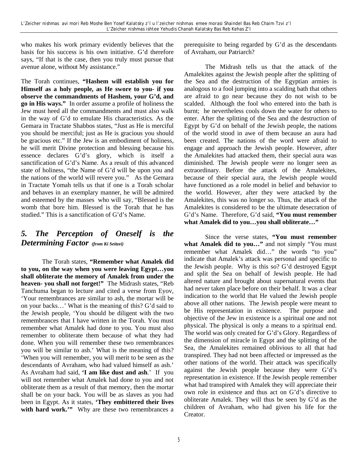who makes his work primary evidently believes that the basis for his success is his own initiative. G'd therefore says, "If that is the case, then you truly must pursue that avenue alone, without My assistance."

The Torah continues, **"Hashem will establish you for Himself as a holy people, as He swore to you- if you observe the commandments of Hashem, your G'd, and go in His ways."** In order assume a profile of holiness the Jew must heed all the commandments and must also walk in the way of G'd to emulate His characteristics. As the Gemara in Tractate Shabbos states, "Just as He is merciful you should be merciful; just as He is gracious you should be gracious etc." If the Jew is an embodiment of holiness, he will merit Divine protection and blessing because his essence declares G'd's glory, which is itself a sanctification of G'd's Name. As a result of this advanced state of holiness, "the Name of G'd will be upon you and the nations of the world will revere you." As the Gemara in Tractate Yomah tells us that if one is a Torah scholar and behaves in an exemplary manner, he will be admired and esteemed by the masses who will say, "Blessed is the womb that bore him. Blessed is the Torah that he has studied." This is a sanctification of G'd's Name.

# *5. The Perception of Oneself is the Determining Factor (from Ki Seitzei)*

The Torah states, **"Remember what Amalek did to you, on the way when you were leaving Egypt…you shall obliterate the memory of Amalek from under the heaven- you shall not forget!"** The Midrash states, "Reb Tanchuma began to lecture and cited a verse from Eyov, 'Your remembrances are similar to ash, the mortar will be on your backs…' What is the meaning of this? G'd said to the Jewish people, 'You should be diligent with the two remembrances that I have written in the Torah. You must remember what Amalek had done to you. You must also remember to obliterate them because of what they had done. When you will remember these two remembrances you will be similar to ash.' What is the meaning of this? 'When you will remember, you will merit to be seen as the descendants of Avraham, who had valued himself as ash.' As Avraham had said, **'I am like dust and ash**.' If you will not remember what Amalek had done to you and not obliterate them as a result of that memory, then the mortar shall be on your back. You will be as slaves as you had been in Egypt. As it states, **'They embittered their lives**  with hard work." Why are these two remembrances a prerequisite to being regarded by G'd as the descendants of Avraham, our Patriarch?

The Midrash tells us that the attack of the Amalekites against the Jewish people after the splitting of the Sea and the destruction of the Egyptian armies is analogous to a fool jumping into a scalding bath that others are afraid to go near because they do not wish to be scalded. Although the fool who entered into the bath is burnt; he nevertheless cools down the water for others to enter. After the splitting of the Sea and the destruction of Egypt by G'd on behalf of the Jewish people, the nations of the world stood in awe of them because an aura had been created. The nations of the word were afraid to engage and approach the Jewish people. However, after the Amalekites had attacked them, their special aura was diminished. The Jewish people were no longer seen as extraordinary. Before the attack of the Amalekites, because of their special aura, the Jewish people would have functioned as a role model in belief and behavior to the world. However, after they were attacked by the Amalekites, this was no longer so. Thus, the attack of the Amalekites is considered to be the ultimate desecration of G'd's Name. Therefore, G'd said, **"You must remember what Amalek did to you…you shall obliterate…"**

Since the verse states, **"You must remember what Amalek did to you…"** and not simply "You must remember what Amalek did…" the words "to you" indicate that Amalek's attack was personal and specific to the Jewish people. Why is this so? G'd destroyed Egypt and split the Sea on behalf of Jewish people. He had altered nature and brought about supernatural events that had never taken place before on their behalf. It was a clear indication to the world that He valued the Jewish people above all other nations. The Jewish people were meant to be His representation in existence. The purpose and objective of the Jew in existence is a spiritual one and not physical. The physical is only a means to a spiritual end. The world was only created for G'd's Glory. Regardless of the dimension of miracle in Egypt and the splitting of the Sea, the Amalekites remained oblivious to all that had transpired. They had not been affected or impressed as the other nations of the world. Their attack was specifically against the Jewish people because they were G'd's representation in existence. If the Jewish people remember what had transpired with Amalek they will appreciate their own role in existence and thus act on G'd's directive to obliterate Amalek. They will thus be seen by G'd as the children of Avraham, who had given his life for the Creator.